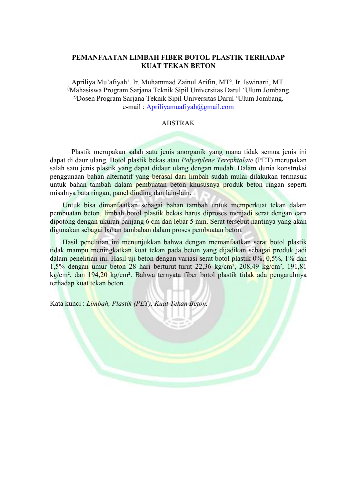## PEMANFAATAN LIMBAH FIBER BOTOL PLASTIK TERHADAP KUAT TEKAN BETON

Apriliya Mu'afiyah<sup>1</sup>. Ir. Muhammad Zainul Arifin, MT<sup>2</sup>. Ir. Iswinarti, MT. <sup>1)</sup>Mahasiswa Program Sarjana Teknik Sipil Universitas Darul 'Ulum Jombang. <sup>2)</sup>Dosen Program Sarjana Teknik Sipil Universitas Darul 'Ulum Jombang. e-mail : Apriliyamuafiyah@gmail.com

## ABSTRAK

 Plastik merupakan salah satu jenis anorganik yang mana tidak semua jenis ini dapat di daur ulang. Botol plastik bekas atau Polyetylene Terephtalate (PET) merupakan salah satu jenis plastik yang dapat didaur ulang dengan mudah. Dalam dunia konstruksi penggunaan bahan alternatif yang berasal dari limbah sudah mulai dilakukan termasuk untuk bahan tambah dalam pembuatan beton khususnya produk beton ringan seperti misalnya bata ringan, panel dinding dan lain-lain.

Untuk bisa dimanfaatkan sebagai bahan tambah untuk memperkuat tekan dalam pembuatan beton, limbah botol plastik bekas harus diproses menjadi serat dengan cara dipotong dengan ukuran panjang 6 cm dan lebar 5 mm. Serat tersebut nantinya yang akan digunakan sebagai bahan tambahan dalam proses pembuatan beton.

Hasil penelitian ini menunjukkan bahwa dengan memanfaatkan serat botol plastik tidak mampu meningkatkan kuat tekan pada beton yang dijadikan sebagai produk jadi dalam penelitian ini. Hasil uji beton dengan variasi serat botol plastik 0%, 0,5%, 1% dan 1,5% dengan umur beton 28 hari berturut-turut 22,36 kg/cm², 208,49 kg/cm², 191,81 kg/cm², dan 194,20 kg/cm². Bahwa ternyata fiber botol plastik tidak ada pengaruhnya terhadap kuat tekan beton.

Kata kunci : Limbah, Plastik (PET), Kuat Tekan Beton.